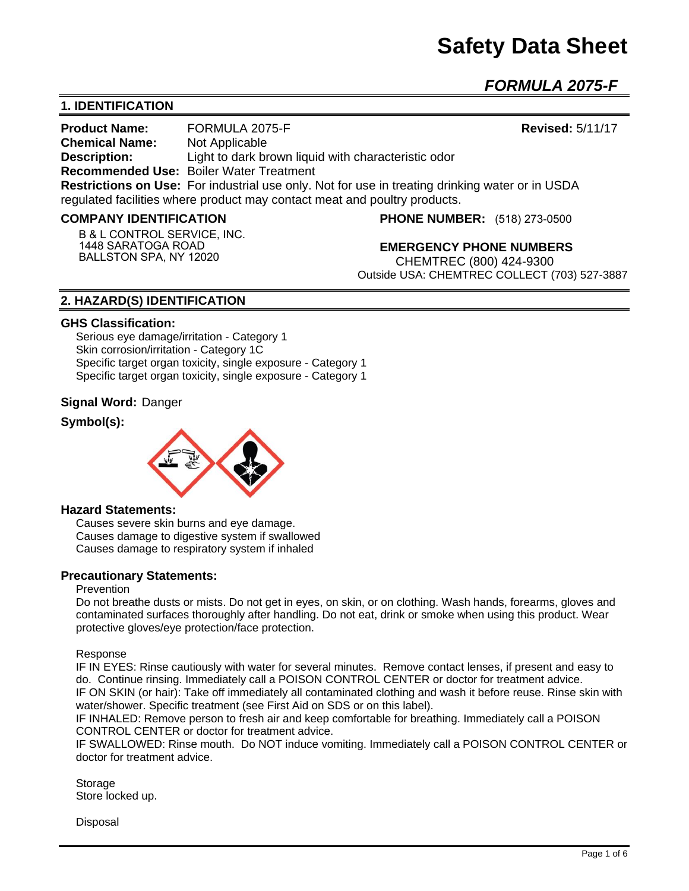*FORMULA 2075-F* 

# **1. IDENTIFICATION**

**Product Name:** FORMULA 2075-F **Revised:** 5/11/17 **Chemical Name:** Not Applicable **Description: Light to dark brown liquid with characteristic odor Recommended Use:** Boiler Water Treatment **Restrictions on Use:** For industrial use only. Not for use in treating drinking water or in USDA regulated facilities where product may contact meat and poultry products.

## **COMPANY IDENTIFICATION**

**B & L CONTROL SERVICE, INC. 1448 SARATOGA ROAD BALLSTON SPA, NY 12020**

**PHONE NUMBER:** (518) 273-0500

**EMERGENCY PHONE NUMBERS** CHEMTREC (800) 424-9300 Outside USA: CHEMTREC COLLECT (703) 527-3887

# **2. HAZARD(S) IDENTIFICATION**

#### **GHS Classification:**

Serious eye damage/irritation - Category 1 Skin corrosion/irritation - Category 1C Specific target organ toxicity, single exposure - Category 1 Specific target organ toxicity, single exposure - Category 1

## **Signal Word:** Danger

# **Symbol(s):**



#### **Hazard Statements:**

Causes severe skin burns and eye damage. Causes damage to digestive system if swallowed Causes damage to respiratory system if inhaled

## **Precautionary Statements:**

#### Prevention

Do not breathe dusts or mists. Do not get in eyes, on skin, or on clothing. Wash hands, forearms, gloves and contaminated surfaces thoroughly after handling. Do not eat, drink or smoke when using this product. Wear protective gloves/eye protection/face protection.

Response

IF IN EYES: Rinse cautiously with water for several minutes. Remove contact lenses, if present and easy to do. Continue rinsing. Immediately call a POISON CONTROL CENTER or doctor for treatment advice. IF ON SKIN (or hair): Take off immediately all contaminated clothing and wash it before reuse. Rinse skin with water/shower. Specific treatment (see First Aid on SDS or on this label).

IF INHALED: Remove person to fresh air and keep comfortable for breathing. Immediately call a POISON CONTROL CENTER or doctor for treatment advice.

IF SWALLOWED: Rinse mouth. Do NOT induce vomiting. Immediately call a POISON CONTROL CENTER or doctor for treatment advice.

Storage Store locked up.

Disposal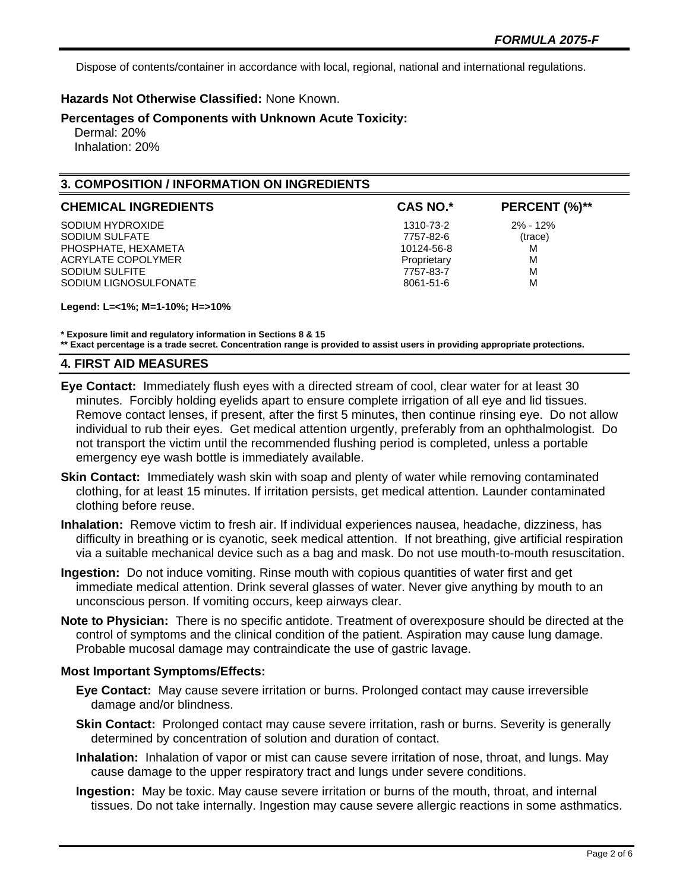Dispose of contents/container in accordance with local, regional, national and international regulations.

# **Hazards Not Otherwise Classified:** None Known.

**Percentages of Components with Unknown Acute Toxicity:** 

 Dermal: 20% Inhalation: 20%

# **3. COMPOSITION / INFORMATION ON INGREDIENTS**

| <b>CHEMICAL INGREDIENTS</b> | <b>CAS NO.*</b> | PERCENT (%)** |
|-----------------------------|-----------------|---------------|
| SODIUM HYDROXIDE            | 1310-73-2       | $2\% - 12\%$  |
| SODIUM SULFATE              | 7757-82-6       | (trace)       |
| PHOSPHATE, HEXAMETA         | 10124-56-8      | M             |
| ACRYLATE COPOLYMER          | Proprietary     | M             |
| SODIUM SULFITE              | 7757-83-7       | M             |
| SODIUM LIGNOSULFONATE       | 8061-51-6       | M             |

**Legend: L=<1%; M=1-10%; H=>10%**

**\* Exposure limit and regulatory information in Sections 8 & 15**

**\*\* Exact percentage is a trade secret. Concentration range is provided to assist users in providing appropriate protections.**

## **4. FIRST AID MEASURES**

- **Eye Contact:** Immediately flush eyes with a directed stream of cool, clear water for at least 30 minutes. Forcibly holding eyelids apart to ensure complete irrigation of all eye and lid tissues. Remove contact lenses, if present, after the first 5 minutes, then continue rinsing eye. Do not allow individual to rub their eyes. Get medical attention urgently, preferably from an ophthalmologist. Do not transport the victim until the recommended flushing period is completed, unless a portable emergency eye wash bottle is immediately available.
- **Skin Contact:** Immediately wash skin with soap and plenty of water while removing contaminated clothing, for at least 15 minutes. If irritation persists, get medical attention. Launder contaminated clothing before reuse.
- **Inhalation:** Remove victim to fresh air. If individual experiences nausea, headache, dizziness, has difficulty in breathing or is cyanotic, seek medical attention. If not breathing, give artificial respiration via a suitable mechanical device such as a bag and mask. Do not use mouth-to-mouth resuscitation.
- **Ingestion:** Do not induce vomiting. Rinse mouth with copious quantities of water first and get immediate medical attention. Drink several glasses of water. Never give anything by mouth to an unconscious person. If vomiting occurs, keep airways clear.
- **Note to Physician:** There is no specific antidote. Treatment of overexposure should be directed at the control of symptoms and the clinical condition of the patient. Aspiration may cause lung damage. Probable mucosal damage may contraindicate the use of gastric lavage.

## **Most Important Symptoms/Effects:**

- **Eye Contact:** May cause severe irritation or burns. Prolonged contact may cause irreversible damage and/or blindness.
- **Skin Contact:** Prolonged contact may cause severe irritation, rash or burns. Severity is generally determined by concentration of solution and duration of contact.
- **Inhalation:** Inhalation of vapor or mist can cause severe irritation of nose, throat, and lungs. May cause damage to the upper respiratory tract and lungs under severe conditions.
- **Ingestion:** May be toxic. May cause severe irritation or burns of the mouth, throat, and internal tissues. Do not take internally. Ingestion may cause severe allergic reactions in some asthmatics.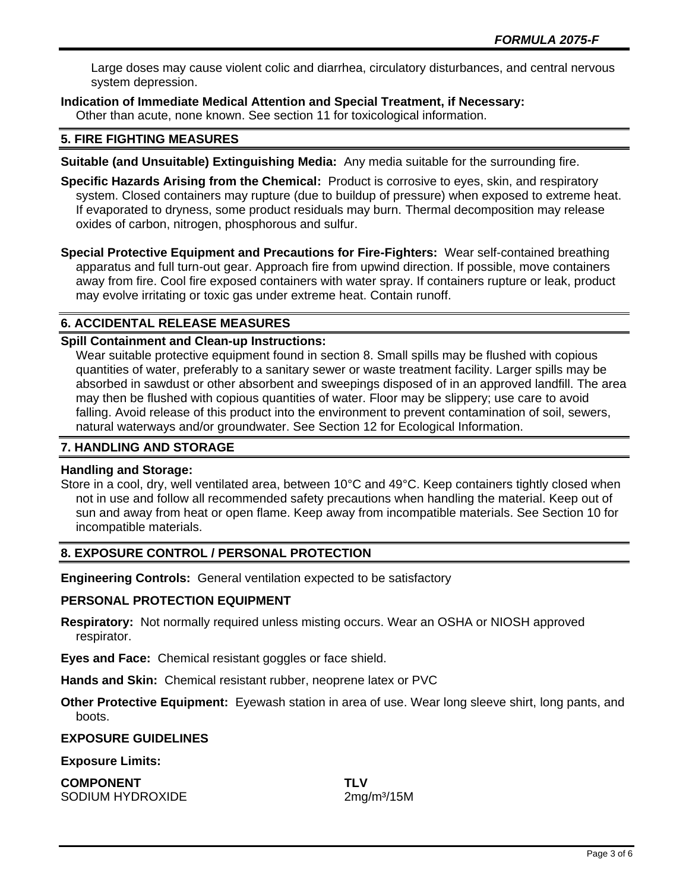Large doses may cause violent colic and diarrhea, circulatory disturbances, and central nervous system depression.

**Indication of Immediate Medical Attention and Special Treatment, if Necessary:**

Other than acute, none known. See section 11 for toxicological information.

## **5. FIRE FIGHTING MEASURES**

**Suitable (and Unsuitable) Extinguishing Media:** Any media suitable for the surrounding fire.

**Specific Hazards Arising from the Chemical:** Product is corrosive to eyes, skin, and respiratory system. Closed containers may rupture (due to buildup of pressure) when exposed to extreme heat. If evaporated to dryness, some product residuals may burn. Thermal decomposition may release oxides of carbon, nitrogen, phosphorous and sulfur.

**Special Protective Equipment and Precautions for Fire-Fighters:** Wear self-contained breathing apparatus and full turn-out gear. Approach fire from upwind direction. If possible, move containers away from fire. Cool fire exposed containers with water spray. If containers rupture or leak, product may evolve irritating or toxic gas under extreme heat. Contain runoff.

## **6. ACCIDENTAL RELEASE MEASURES**

## **Spill Containment and Clean-up Instructions:**

Wear suitable protective equipment found in section 8. Small spills may be flushed with copious quantities of water, preferably to a sanitary sewer or waste treatment facility. Larger spills may be absorbed in sawdust or other absorbent and sweepings disposed of in an approved landfill. The area may then be flushed with copious quantities of water. Floor may be slippery; use care to avoid falling. Avoid release of this product into the environment to prevent contamination of soil, sewers, natural waterways and/or groundwater. See Section 12 for Ecological Information.

## **7. HANDLING AND STORAGE**

#### **Handling and Storage:**

Store in a cool, dry, well ventilated area, between 10°C and 49°C. Keep containers tightly closed when not in use and follow all recommended safety precautions when handling the material. Keep out of sun and away from heat or open flame. Keep away from incompatible materials. See Section 10 for incompatible materials.

## **8. EXPOSURE CONTROL / PERSONAL PROTECTION**

**Engineering Controls:** General ventilation expected to be satisfactory

#### **PERSONAL PROTECTION EQUIPMENT**

**Respiratory:** Not normally required unless misting occurs. Wear an OSHA or NIOSH approved respirator.

**Eyes and Face:** Chemical resistant goggles or face shield.

**Hands and Skin:** Chemical resistant rubber, neoprene latex or PVC

**Other Protective Equipment:** Eyewash station in area of use. Wear long sleeve shirt, long pants, and boots.

#### **EXPOSURE GUIDELINES**

**Exposure Limits:** 

**COMPONENT TLV** SODIUM HYDROXIDE 2mg/m<sup>3</sup>/15M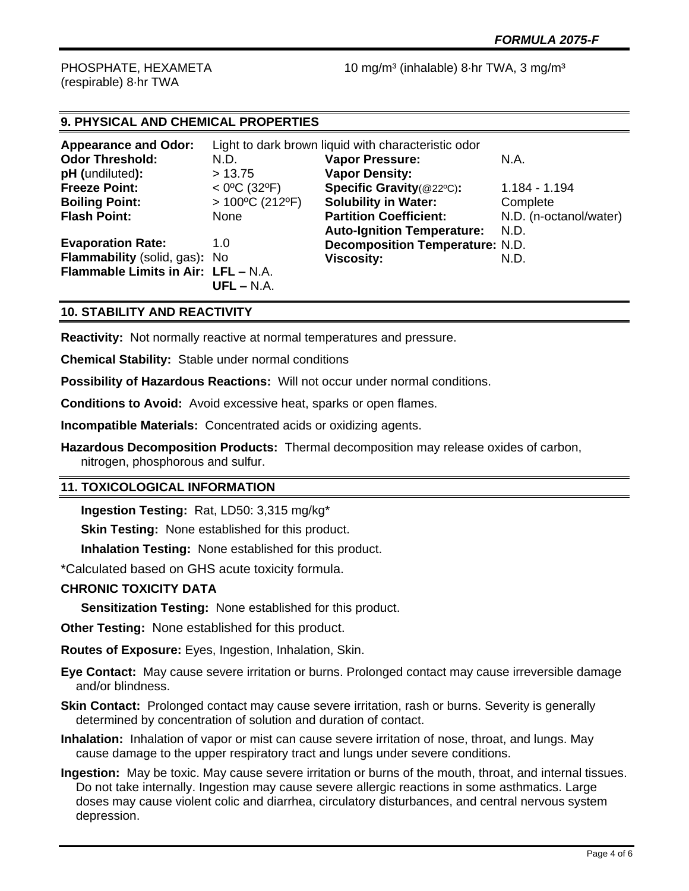(respirable) 8·hr TWA

PHOSPHATE, HEXAMETA 10 mg/m<sup>3</sup> (inhalable) 8·hr TWA, 3 mg/m<sup>3</sup>

# **9. PHYSICAL AND CHEMICAL PROPERTIES**

| <b>Appearance and Odor:</b>         |                          | Light to dark brown liquid with characteristic odor |                        |
|-------------------------------------|--------------------------|-----------------------------------------------------|------------------------|
| <b>Odor Threshold:</b>              | N.D.                     | <b>Vapor Pressure:</b>                              | N.A.                   |
| pH (undiluted):                     | > 13.75                  | <b>Vapor Density:</b>                               |                        |
| <b>Freeze Point:</b>                | $<$ 0°C (32°F)           | Specific Gravity(@22°C):                            | 1.184 - 1.194          |
| <b>Boiling Point:</b>               | $>100^{\circ}$ C (212°F) | <b>Solubility in Water:</b>                         | Complete               |
| <b>Flash Point:</b>                 | None                     | <b>Partition Coefficient:</b>                       | N.D. (n-octanol/water) |
|                                     |                          | <b>Auto-Ignition Temperature:</b>                   | N.D.                   |
| <b>Evaporation Rate:</b>            | 1.0                      | <b>Decomposition Temperature: N.D.</b>              |                        |
| Flammability (solid, gas): No       |                          | <b>Viscosity:</b>                                   | N.D.                   |
| Flammable Limits in Air: LFL - N.A. |                          |                                                     |                        |
|                                     | $UFL - N.A.$             |                                                     |                        |

# **10. STABILITY AND REACTIVITY**

**Reactivity:** Not normally reactive at normal temperatures and pressure.

**Chemical Stability:** Stable under normal conditions

**Possibility of Hazardous Reactions:** Will not occur under normal conditions.

**Conditions to Avoid:** Avoid excessive heat, sparks or open flames.

**Incompatible Materials:** Concentrated acids or oxidizing agents.

**Hazardous Decomposition Products:** Thermal decomposition may release oxides of carbon, nitrogen, phosphorous and sulfur.

## **11. TOXICOLOGICAL INFORMATION**

**Ingestion Testing:** Rat, LD50: 3,315 mg/kg\*

**Skin Testing: None established for this product.** 

**Inhalation Testing:** None established for this product.

\*Calculated based on GHS acute toxicity formula.

## **CHRONIC TOXICITY DATA**

**Sensitization Testing:** None established for this product.

**Other Testing:** None established for this product.

**Routes of Exposure:** Eyes, Ingestion, Inhalation, Skin.

**Eye Contact:** May cause severe irritation or burns. Prolonged contact may cause irreversible damage and/or blindness.

- **Skin Contact:** Prolonged contact may cause severe irritation, rash or burns. Severity is generally determined by concentration of solution and duration of contact.
- **Inhalation:** Inhalation of vapor or mist can cause severe irritation of nose, throat, and lungs. May cause damage to the upper respiratory tract and lungs under severe conditions.
- **Ingestion:** May be toxic. May cause severe irritation or burns of the mouth, throat, and internal tissues. Do not take internally. Ingestion may cause severe allergic reactions in some asthmatics. Large doses may cause violent colic and diarrhea, circulatory disturbances, and central nervous system depression.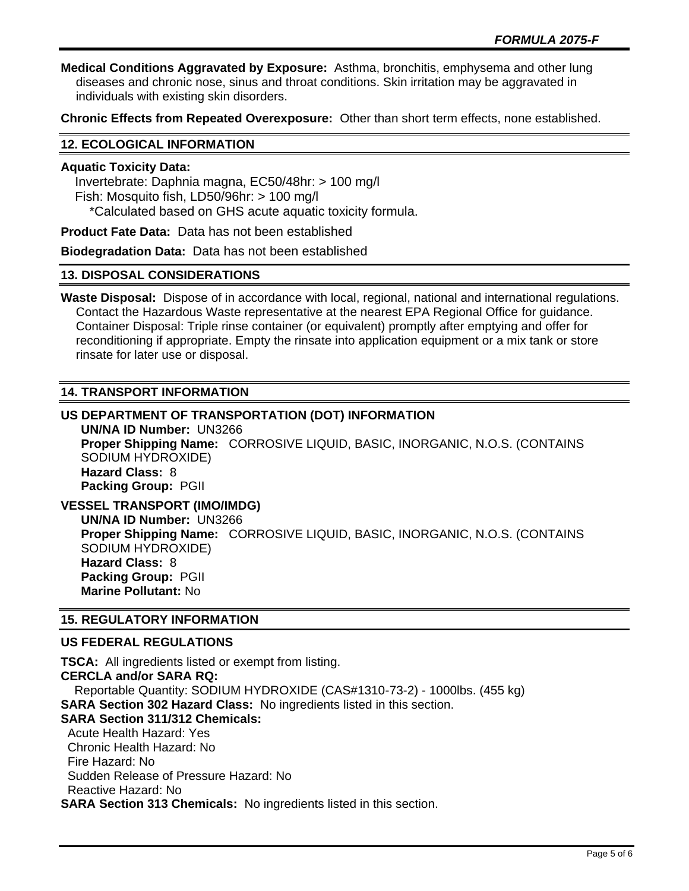**Medical Conditions Aggravated by Exposure:** Asthma, bronchitis, emphysema and other lung diseases and chronic nose, sinus and throat conditions. Skin irritation may be aggravated in individuals with existing skin disorders.

**Chronic Effects from Repeated Overexposure:** Other than short term effects, none established.

#### **12. ECOLOGICAL INFORMATION**

## **Aquatic Toxicity Data:**

 Invertebrate: Daphnia magna, EC50/48hr: > 100 mg/l Fish: Mosquito fish, LD50/96hr: > 100 mg/l \*Calculated based on GHS acute aquatic toxicity formula.

**Product Fate Data:** Data has not been established

**Biodegradation Data:** Data has not been established

#### **13. DISPOSAL CONSIDERATIONS**

**Waste Disposal:** Dispose of in accordance with local, regional, national and international regulations. Contact the Hazardous Waste representative at the nearest EPA Regional Office for guidance. Container Disposal: Triple rinse container (or equivalent) promptly after emptying and offer for reconditioning if appropriate. Empty the rinsate into application equipment or a mix tank or store rinsate for later use or disposal.

## **14. TRANSPORT INFORMATION**

# **US DEPARTMENT OF TRANSPORTATION (DOT) INFORMATION UN/NA ID Number:** UN3266 **Proper Shipping Name:** CORROSIVE LIQUID, BASIC, INORGANIC, N.O.S. (CONTAINS SODIUM HYDROXIDE) **Hazard Class:** 8 **Packing Group:** PGII

**VESSEL TRANSPORT (IMO/IMDG) UN/NA ID Number:** UN3266 **Proper Shipping Name:** CORROSIVE LIQUID, BASIC, INORGANIC, N.O.S. (CONTAINS SODIUM HYDROXIDE) **Hazard Class:** 8 **Packing Group:** PGII **Marine Pollutant:** No

## **15. REGULATORY INFORMATION**

## **US FEDERAL REGULATIONS**

**TSCA:** All ingredients listed or exempt from listing. **CERCLA and/or SARA RQ:**  Reportable Quantity: SODIUM HYDROXIDE (CAS#1310-73-2) - 1000lbs. (455 kg) **SARA Section 302 Hazard Class:** No ingredients listed in this section. **SARA Section 311/312 Chemicals:**  Acute Health Hazard: Yes Chronic Health Hazard: No Fire Hazard: No Sudden Release of Pressure Hazard: No Reactive Hazard: No **SARA Section 313 Chemicals:** No ingredients listed in this section.